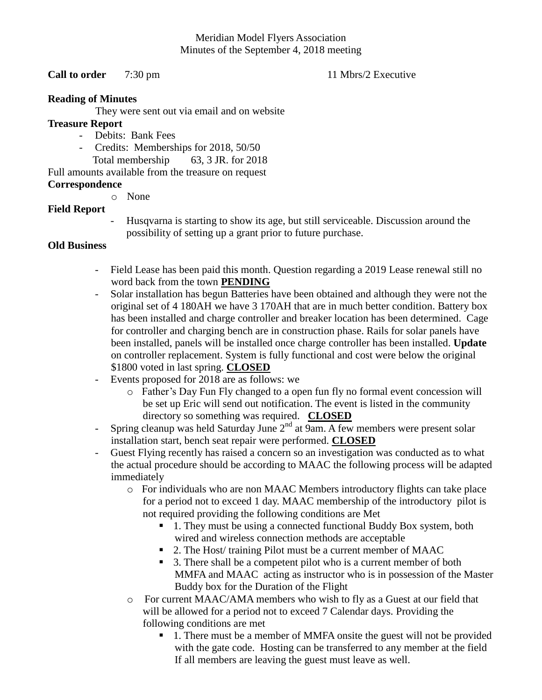# Meridian Model Flyers Association Minutes of the September 4, 2018 meeting

## **Call to order** 7:30 pm 11 Mbrs/2 Executive

#### **Reading of Minutes**

They were sent out via email and on website

## **Treasure Report**

- Debits: Bank Fees
	- Credits: Memberships for 2018, 50/50
		- Total membership 63, 3 JR. for 2018

# Full amounts available from the treasure on request

# **Correspondence**

o None

# **Field Report**

- Husqvarna is starting to show its age, but still serviceable. Discussion around the possibility of setting up a grant prior to future purchase.

# **Old Business**

- Field Lease has been paid this month. Question regarding a 2019 Lease renewal still no word back from the town **PENDING**
- Solar installation has begun Batteries have been obtained and although they were not the original set of 4 180AH we have 3 170AH that are in much better condition. Battery box has been installed and charge controller and breaker location has been determined. Cage for controller and charging bench are in construction phase. Rails for solar panels have been installed, panels will be installed once charge controller has been installed. **Update**  on controller replacement. System is fully functional and cost were below the original \$1800 voted in last spring. **CLOSED**
- Events proposed for 2018 are as follows: we
	- o Father's Day Fun Fly changed to a open fun fly no formal event concession will be set up Eric will send out notification. The event is listed in the community directory so something was required. **CLOSED**
- Spring cleanup was held Saturday June  $2<sup>nd</sup>$  at 9am. A few members were present solar installation start, bench seat repair were performed. **CLOSED**
- Guest Flying recently has raised a concern so an investigation was conducted as to what the actual procedure should be according to MAAC the following process will be adapted immediately
	- o For individuals who are non MAAC Members introductory flights can take place for a period not to exceed 1 day. MAAC membership of the introductory pilot is not required providing the following conditions are Met
		- 1. They must be using a connected functional Buddy Box system, both wired and wireless connection methods are acceptable
		- 2. The Host/ training Pilot must be a current member of MAAC
		- 3. There shall be a competent pilot who is a current member of both MMFA and MAAC acting as instructor who is in possession of the Master Buddy box for the Duration of the Flight
	- o For current MAAC/AMA members who wish to fly as a Guest at our field that will be allowed for a period not to exceed 7 Calendar days. Providing the following conditions are met
		- 1. There must be a member of MMFA onsite the guest will not be provided with the gate code. Hosting can be transferred to any member at the field If all members are leaving the guest must leave as well.